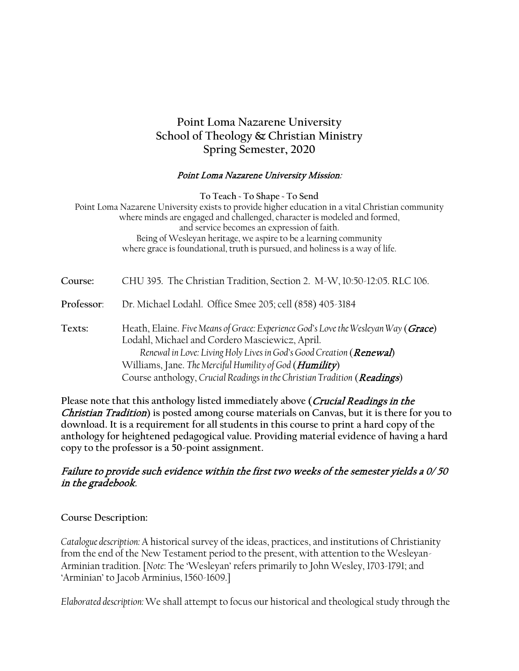# **Point Loma Nazarene University School of Theology & Christian Ministry Spring Semester, 2020**

#### Point Loma Nazarene University Mission:

**To Teach ~ To Shape ~ To Send** Point Loma Nazarene University exists to provide higher education in a vital Christian community where minds are engaged and challenged, character is modeled and formed, and service becomes an expression of faith. Being of Wesleyan heritage, we aspire to be a learning community where grace is foundational, truth is pursued, and holiness is a way of life.

**Course:** CHU 395. The Christian Tradition, Section 2. M-W, 10:50-12:05. RLC 106.

**Professor**: Dr. Michael Lodahl. Office Smee 205; cell (858) 405-3184

**Texts:** Heath, Elaine. *Five Means of Grace: Experience God's Love the Wesleyan Way* (Grace) Lodahl, Michael and Cordero Masciewicz, April. *Renewal in Love: Living Holy Lives in God's Good Creation (Renewal)* Williams, Jane. *The Merciful Humility of God* (Humility) Course anthology, *Crucial Readings in the Christian Tradition* (Readings)

**Please note that this anthology listed immediately above (**Crucial Readings in the Christian Tradition**) is posted among course materials on Canvas, but it is there for you to download. It is a requirement for all students in this course to print a hard copy of the anthology for heightened pedagogical value. Providing material evidence of having a hard copy to the professor is a 50-point assignment.** 

### Failure to provide such evidence within the first two weeks of the semester yields a 0/ 50 in the gradebook.

#### **Course Description:**

*Catalogue description:* A historical survey of the ideas, practices, and institutions of Christianity from the end of the New Testament period to the present, with attention to the Wesleyan-Arminian tradition. [*Note*: The 'Wesleyan' refers primarily to John Wesley, 1703-1791; and 'Arminian' to Jacob Arminius, 1560-1609.]

*Elaborated description:* We shall attempt to focus our historical and theological study through the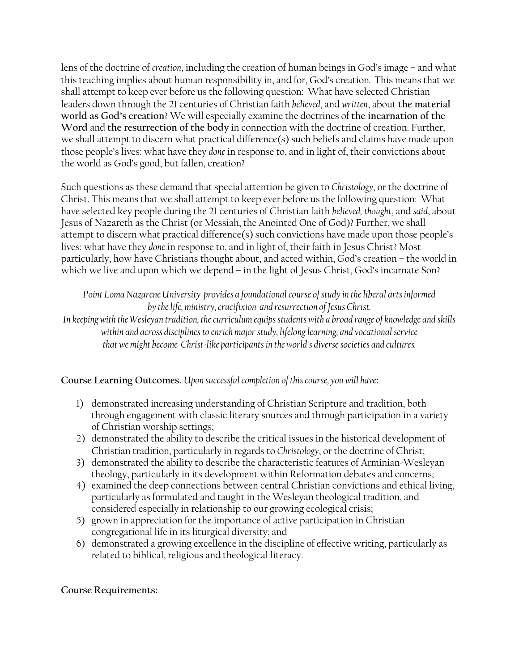lens of the doctrine of *creation*, including the creation of human beings in God's image – and what this teaching implies about human responsibility in, and for, God's creation*.* This means that we shall attempt to keep ever before us the following question: What have selected Christian leaders down through the 21 centuries of Christian faith *believed*, and *written*, about **the material world as God's creation**? We will especially examine the doctrines of **the incarnation of the Word** and **the resurrection of the body** in connection with the doctrine of creation. Further, we shall attempt to discern what practical difference(s) such beliefs and claims have made upon those people's lives: what have they *done* in response to, and in light of, their convictions about the world as God's good, but fallen, creation?

Such questions as these demand that special attention be given to *Christology*, or the doctrine of Christ. This means that we shall attempt to keep ever before us the following question: What have selected key people during the 21 centuries of Christian faith *believed, thought*, and *said*, about Jesus of Nazareth as the Christ (or Messiah, the Anointed One of God)? Further, we shall attempt to discern what practical difference(s) such convictions have made upon those people's lives: what have they *done* in response to, and in light of, their faith in Jesus Christ? Most particularly, how have Christians thought about, and acted within, God's creation – the world in which we live and upon which we depend – in the light of Jesus Christ, God's incarnate Son?

*Point Loma Nazarene University provides a foundational course of study in the liberal arts informed by the life, ministry, crucifixion and resurrection of Jesus Christ.*

*In keeping with the Wesleyan tradition, the curriculum equips students with a broad range of knowledge and skills within and across disciplines to enrich major study, lifelong learning, and vocational service that we might become Christ-like participants in the world's diverse societies and cultures.*

**Course Learning Outcomes.** *Upon successful completion of this course, you will have***:**

- 1) demonstrated increasing understanding of Christian Scripture and tradition, both through engagement with classic literary sources and through participation in a variety of Christian worship settings;
- 2) demonstrated the ability to describe the critical issues in the historical development of Christian tradition, particularly in regards to *Christology*, or the doctrine of Christ;
- 3) demonstrated the ability to describe the characteristic features of Arminian-Wesleyan theology, particularly in its development within Reformation debates and concerns;
- 4) examined the deep connections between central Christian convictions and ethical living, particularly as formulated and taught in the Wesleyan theological tradition, and considered especially in relationship to our growing ecological crisis;
- 5) grown in appreciation for the importance of active participation in Christian congregational life in its liturgical diversity; and
- 6) demonstrated a growing excellence in the discipline of effective writing, particularly as related to biblical, religious and theological literacy.

**Course Requirements:**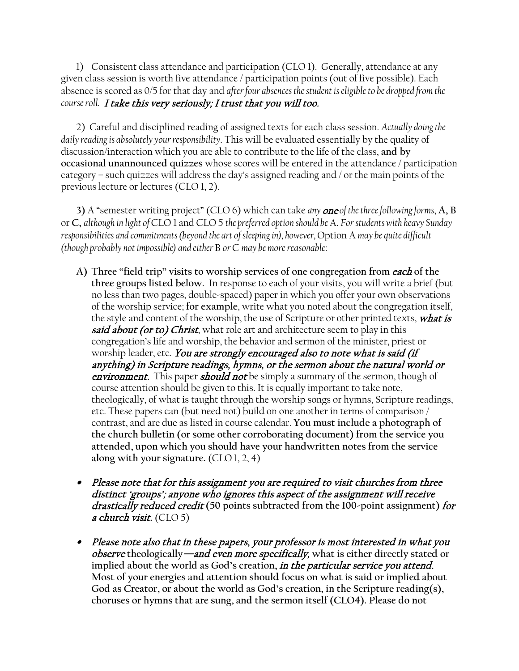1) Consistent class attendance and participation (CLO 1). Generally, attendance at any given class session is worth five attendance / participation points (out of five possible). Each absence is scored as 0/5 for that day and *after four absences the student is eligible to be dropped from the course roll.* I take this very seriously; I trust that you will too.

2) Careful and disciplined reading of assigned texts for each class session. *Actually doing the daily reading is absolutely your responsibility*. This will be evaluated essentially by the quality of discussion/interaction which you are able to contribute to the life of the class, **and by occasional unannounced quizzes** whose scores will be entered in the attendance / participation category – such quizzes will address the day's assigned reading and / or the main points of the previous lecture or lectures (CLO 1, 2).

**3)** A "semester writing project" (CLO 6) which can take *any* one *of the three following forms*, **A, B**  or **C,** *although in light of* CLO 1 and CLO 5 *the preferred option should be* A. *For students with heavy Sunday responsibilities and commitments (beyond the art of sleeping in), however,* Option A *may be quite difficult (though probably not impossible) and either* B *or* C *may be more reasonable*:

- **A) Three "field trip" visits to worship services of one congregation from** each **of the three groups listed below.** In response to each of your visits, you will write a brief (but no less than two pages, double-spaced) paper in which you offer your own observations of the worship service; **for example**, write what you noted about the congregation itself, the style and content of the worship, the use of Scripture or other printed texts, *what is* **said about (or to) Christ**, what role art and architecture seem to play in this congregation's life and worship, the behavior and sermon of the minister, priest or worship leader, etc. You are strongly encouraged also to note what is said (if anything) in Scripture readings, hymns, or the sermon about the natural world or **environment.** This paper **should not** be simply a summary of the sermon, though of course attention should be given to this. It is equally important to take note, theologically, of what is taught through the worship songs or hymns, Scripture readings, etc. These papers can (but need not) build on one another in terms of comparison / contrast, and are due as listed in course calendar. **You must include a photograph of the church bulletin (or some other corroborating document) from the service you attended, upon which you should have your handwritten notes from the service along with your signature.** (CLO 1, 2, 4)
- Please note that for this assignment you are required to visit churches from three distinct 'groups'; anyone who ignores this aspect of the assignment will receive drastically reduced credit **(50 points subtracted from the 100-point assignment)** for a church visit. (CLO 5)
- Please note also that in these papers, your professor is most interested in what you observe **theologically**—and even more specifically, **what is either directly stated or implied about the world as God's creation,** in the particular service you attend. **Most of your energies and attention should focus on what is said or implied about God as Creator, or about the world as God's creation, in the Scripture reading(s), choruses or hymns that are sung, and the sermon itself (CLO4). Please do not**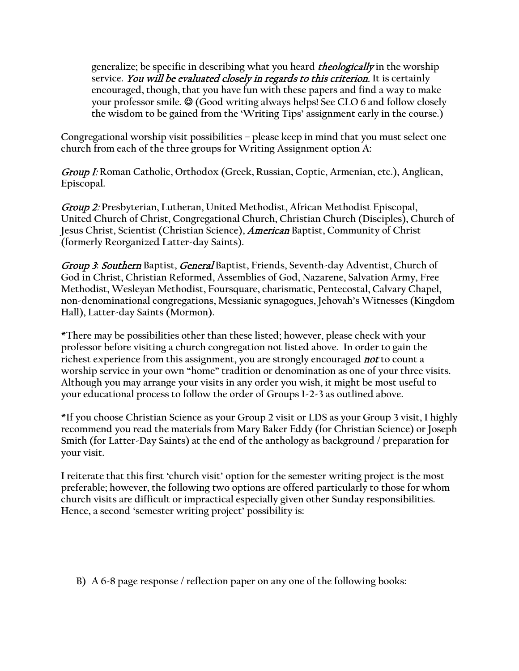**generalize; be specific in describing what you heard** theologically **in the worship service.** You will be evaluated closely in regards to this criterion. **It is certainly encouraged, though, that you have fun with these papers and find a way to make your professor smile. © (Good writing always helps! See CLO 6 and follow closely the wisdom to be gained from the 'Writing Tips' assignment early in the course.)** 

**Congregational worship visit possibilities – please keep in mind that you must select one church from each of the three groups for Writing Assignment option A:**

Group I: **Roman Catholic, Orthodox (Greek, Russian, Coptic, Armenian, etc.), Anglican, Episcopal.**

Group 2: **Presbyterian, Lutheran, United Methodist, African Methodist Episcopal, United Church of Christ, Congregational Church, Christian Church (Disciples), Church of Jesus Christ, Scientist (Christian Science),** American **Baptist, Community of Christ (formerly Reorganized Latter-day Saints).**

Group 3**:** Southern **Baptist,** General **Baptist, Friends, Seventh-day Adventist, Church of God in Christ, Christian Reformed, Assemblies of God, Nazarene, Salvation Army, Free Methodist, Wesleyan Methodist, Foursquare, charismatic, Pentecostal, Calvary Chapel, non-denominational congregations, Messianic synagogues, Jehovah's Witnesses (Kingdom Hall), Latter-day Saints (Mormon).**

**\*There may be possibilities other than these listed; however, please check with your professor before visiting a church congregation not listed above. In order to gain the richest experience from this assignment, you are strongly encouraged** not **to count a worship service in your own "home" tradition or denomination as one of your three visits. Although you may arrange your visits in any order you wish, it might be most useful to your educational process to follow the order of Groups 1-2-3 as outlined above.**

**\*If you choose Christian Science as your Group 2 visit or LDS as your Group 3 visit, I highly recommend you read the materials from Mary Baker Eddy (for Christian Science) or Joseph Smith (for Latter-Day Saints) at the end of the anthology as background / preparation for your visit.**

**I reiterate that this first 'church visit' option for the semester writing project is the most preferable; however, the following two options are offered particularly to those for whom church visits are difficult or impractical especially given other Sunday responsibilities. Hence, a second 'semester writing project' possibility is:**

**B) A 6-8 page response / reflection paper on any one of the following books:**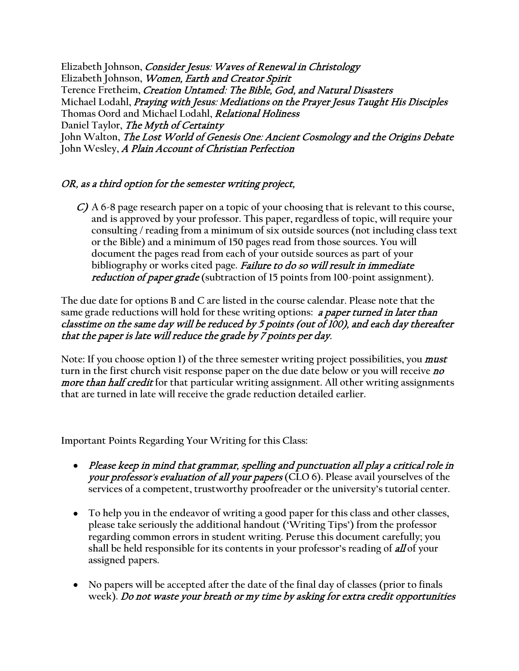**Elizabeth Johnson,** Consider Jesus: Waves of Renewal in Christology **Elizabeth Johnson,** Women, Earth and Creator Spirit **Terence Fretheim,** Creation Untamed: The Bible, God, and Natural Disasters **Michael Lodahl,** Praying with Jesus: Mediations on the Prayer Jesus Taught His Disciples **Thomas Oord and Michael Lodahl,** Relational Holiness **Daniel Taylor,** The Myth of Certainty John Walton, *The Lost World of Genesis One: Ancient Cosmology and the Origins Debate* **John Wesley,** A Plain Account of Christian Perfection

## OR, as a third option for the semester writing project,

C) **A 6-8 page research paper on a topic of your choosing that is relevant to this course, and is approved by your professor. This paper, regardless of topic, will require your consulting / reading from a minimum of six outside sources (not including class text or the Bible) and a minimum of 150 pages read from those sources. You will document the pages read from each of your outside sources as part of your bibliography or works cited page.** Failure to do so will result in immediate reduction of paper grade **(subtraction of 15 points from 100-point assignment)**.

**The due date for options B and C are listed in the course calendar. Please note that the same grade reductions will hold for these writing options:** a paper turned in later than classtime on the same day will be reduced by 5 points (out of 100), and each day thereafter that the paper is late will reduce the grade by  $\bar{7}$  points per day.

Note: If you choose option 1) of the three semester writing project possibilities, you *must* **turn in the first church visit response paper on the due date below or you will receive** no more than half credit **for that particular writing assignment. All other writing assignments that are turned in late will receive the grade reduction detailed earlier.**

**Important Points Regarding Your Writing for this Class:**

- Please keep in mind that grammar, spelling and punctuation all play a critical role in your professor's evaluation of all your papers **(CLO 6). Please avail yourselves of the services of a competent, trustworthy proofreader or the university's tutorial center.**
- **To help you in the endeavor of writing a good paper for this class and other classes, please take seriously the additional handout ('Writing Tips') from the professor regarding common errors in student writing. Peruse this document carefully; you shall be held responsible for its contents in your professor's reading of** all **of your assigned papers.**
- **No papers will be accepted after the date of the final day of classes (prior to finals week).** Do not waste your breath or my time by asking for extra credit opportunities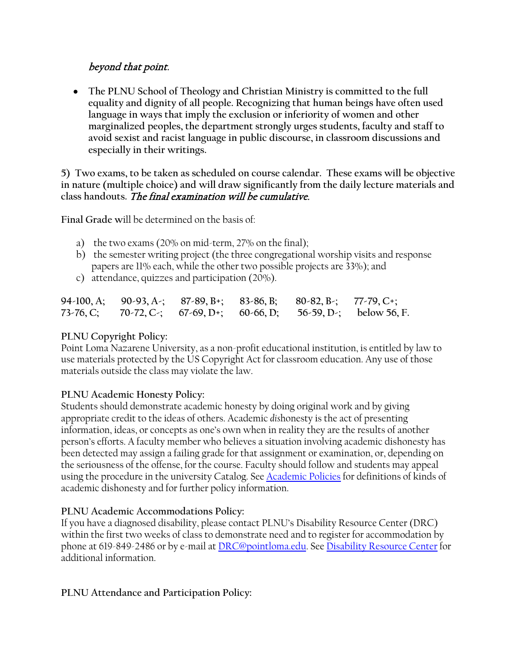## beyond that point.

• **The PLNU School of Theology and Christian Ministry is committed to the full equality and dignity of all people. Recognizing that human beings have often used language in ways that imply the exclusion or inferiority of women and other marginalized peoples, the department strongly urges students, faculty and staff to avoid sexist and racist language in public discourse, in classroom discussions and especially in their writings.**

**5) Two exams, to be taken as scheduled on course calendar. These exams will be objective in nature (multiple choice) and will draw significantly from the daily lecture materials and class handouts.** The final examination will be cumulative.

**Final Grade w**ill be determined on the basis of:

- a) the two exams (20% on mid-term, 27% on the final);
- b) the semester writing project (the three congregational worship visits and response papers are 11% each, while the other two possible projects are 33%); and
- c) attendance, quizzes and participation (20%).

|  |  | 94-100, A; 90-93, A-; 87-89, B+; 83-86, B; 80-82, B-; 77-79, C+; |                                                                   |
|--|--|------------------------------------------------------------------|-------------------------------------------------------------------|
|  |  |                                                                  | 73-76, C; 70-72, C-; 67-69, D+; 60-66, D; 56-59, D-; below 56, F. |

#### **PLNU Copyright Policy:**

Point Loma Nazarene University, as a non-profit educational institution, is entitled by law to use materials protected by the US Copyright Act for classroom education. Any use of those materials outside the class may violate the law.

#### **PLNU Academic Honesty Policy:**

Students should demonstrate academic honesty by doing original work and by giving appropriate credit to the ideas of others. Academic *dis*honesty is the act of presenting information, ideas, or concepts as one's own when in reality they are the results of another person's efforts. A faculty member who believes a situation involving academic dishonesty has been detected may assign a failing grade for that assignment or examination, or, depending on the seriousness of the offense, for the course. Faculty should follow and students may appeal using the procedure in the university Catalog. See [Academic Policies](http://catalog.pointloma.edu/content.php?catoid=18&navoid=1278) for definitions of kinds of academic dishonesty and for further policy information.

#### **PLNU Academic Accommodations Policy:**

If you have a diagnosed disability, please contact PLNU's Disability Resource Center (DRC) within the first two weeks of class to demonstrate need and to register for accommodation by phone at 619-849-2486 or by e-mail a[t DRC@pointloma.edu.](mailto:DRC@pointloma.edu) See [Disability Resource Center](http://www.pointloma.edu/experience/offices/administrative-offices/academic-advising-office/disability-resource-center) for additional information.

#### **PLNU Attendance and Participation Policy:**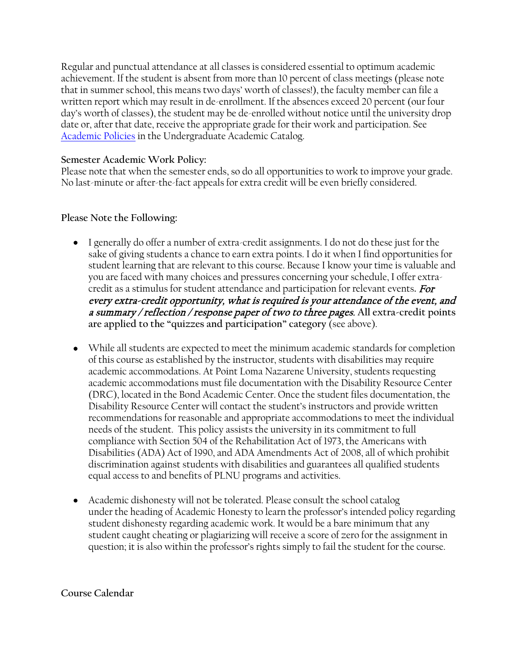Regular and punctual attendance at all classes is considered essential to optimum academic achievement. If the student is absent from more than 10 percent of class meetings (please note that in summer school, this means two days' worth of classes!), the faculty member can file a written report which may result in de-enrollment. If the absences exceed 20 percent (our four day's worth of classes), the student may be de-enrolled without notice until the university drop date or, after that date, receive the appropriate grade for their work and participation. See [Academic Policies](http://catalog.pointloma.edu/content.php?catoid=18&navoid=1278) in the Undergraduate Academic Catalog.

#### **Semester Academic Work Policy:**

Please note that when the semester ends, so do all opportunities to work to improve your grade. No last-minute or after-the-fact appeals for extra credit will be even briefly considered.

#### **Please Note the Following:**

- I generally do offer a number of extra-credit assignments. I do not do these just for the sake of giving students a chance to earn extra points. I do it when I find opportunities for student learning that are relevant to this course. Because I know your time is valuable and you are faced with many choices and pressures concerning your schedule, I offer extracredit as a stimulus for student attendance and participation for relevant events**.** For every extra-credit opportunity, what is required is your attendance of the event, and a summary / reflection / response paper of two to three pages. **All extra-credit points are applied to the "quizzes and participation" category** (see above).
- While all students are expected to meet the minimum academic standards for completion of this course as established by the instructor, students with disabilities may require academic accommodations. At Point Loma Nazarene University, students requesting academic accommodations must file documentation with the Disability Resource Center (DRC), located in the Bond Academic Center. Once the student files documentation, the Disability Resource Center will contact the student's instructors and provide written recommendations for reasonable and appropriate accommodations to meet the individual needs of the student. This policy assists the university in its commitment to full compliance with Section 504 of the Rehabilitation Act of 1973, the Americans with Disabilities (ADA) Act of 1990, and ADA Amendments Act of 2008, all of which prohibit discrimination against students with disabilities and guarantees all qualified students equal access to and benefits of PLNU programs and activities.
- Academic dishonesty will not be tolerated. Please consult the school catalog under the heading of Academic Honesty to learn the professor's intended policy regarding student dishonesty regarding academic work. It would be a bare minimum that any student caught cheating or plagiarizing will receive a score of zero for the assignment in question; it is also within the professor's rights simply to fail the student for the course.

**Course Calendar**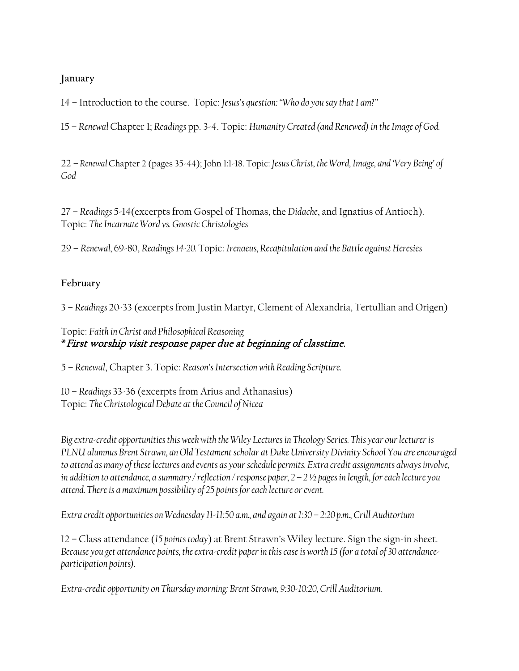## **January**

14 – Introduction to the course. Topic: *Jesus's question: "Who do you say that I am?"*

15 – *Renewal* Chapter 1; *Readings* pp. 3-4. Topic: *Humanity Created (and Renewed) in the Image of God.*

22 – *Renewal* Chapter 2 (pages 35-44); John 1:1-18. Topic: *Jesus Christ, the Word, Image, and 'Very Being' of God*

27 – *Readings* 5-14(excerpts from Gospel of Thomas, the *Didache*, and Ignatius of Antioch). Topic: *The Incarnate Word vs. Gnostic Christologies*

29 – *Renewal,* 69-80, *Readings 14-20.* Topic: *Irenaeus, Recapitulation and the Battle against Heresies*

## **February**

3 – *Readings* 20-33 (excerpts from Justin Martyr, Clement of Alexandria, Tertullian and Origen)

## Topic: *Faith in Christ and Philosophical Reasoning* **\***First worship visit response paper due at beginning of classtime.

5 – *Renewal*, Chapter 3. Topic: *Reason's Intersection with Reading Scripture.*

10 – *Readings* 33-36 (excerpts from Arius and Athanasius) Topic: *The Christological Debate at the Council of Nicea*

*Big extra-credit opportunities this week with the Wiley Lectures in Theology Series. This year our lecturer is PLNU alumnus Brent Strawn, an Old Testament scholar at Duke University Divinity School You are encouraged to attend as many of these lectures and events as your schedule permits. Extra credit assignments always involve, in addition to attendance, a summary / reflection / response paper, 2 – 2 ½ pages in length, for each lecture you attend. There is a maximum possibility of 25 points for each lecture or event.*

*Extra credit opportunities on Wednesday 11-11:50 a.m., and again at 1:30 – 2:20 p.m., Crill Auditorium* 

12 – Class attendance (*15 points today*) at Brent Strawn's Wiley lecture. Sign the sign-in sheet. *Because you get attendance points, the extra-credit paper in this case is worth 15 (for a total of 30 attendanceparticipation points).*

*Extra-credit opportunity on Thursday morning: Brent Strawn, 9:30-10:20, Crill Auditorium.*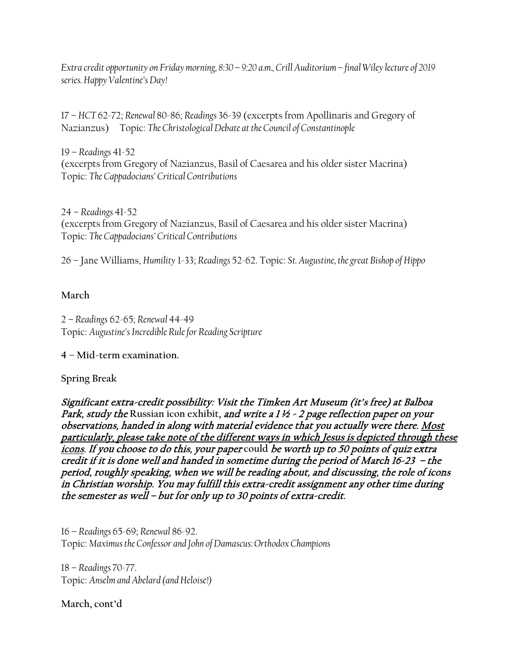*Extra credit opportunity on Friday morning, 8:30 – 9:20 a.m., Crill Auditorium– final Wiley lecture of 2019 series.Happy Valentine's Day!*

17 – *HCT* 62-72; *Renewal* 80-86; *Readings* 36-39 (excerpts from Apollinaris and Gregory of Nazianzus) Topic: *The Christological Debate at the Council of Constantinople*

19 – *Readings* 41-52 (excerpts from Gregory of Nazianzus, Basil of Caesarea and his older sister Macrina) Topic: *The Cappadocians' Critical Contributions*

24 – *Readings* 41-52 (excerpts from Gregory of Nazianzus, Basil of Caesarea and his older sister Macrina) Topic: *The Cappadocians' Critical Contributions*

26 – Jane Williams, *Humility* 1-33; *Readings* 52-62. Topic: *St. Augustine, the great Bishop of Hippo*

### **March**

2 – *Readings* 62-65; *Renewal* 44-49 Topic: *Augustine's Incredible Rule for Reading Scripture*

**4 – Mid-term examination.**

**Spring Break**

Significant extra-credit possibility: Visit the Timken Art Museum (it's free) at Balboa Park, study the Russian icon exhibit, and write a 1 ½ - 2 page reflection paper on your observations, handed in along with material evidence that you actually were there. Most particularly, please take note of the different ways in which Jesus is depicted through these icons. If you choose to do this, your paper **could** be worth up to 50 points of quiz extra credit if it is done well and handed in sometime during the period of March 16-23 – the period, roughly speaking, when we will be reading about, and discussing, the role of icons in Christian worship. You may fulfill this extra-credit assignment any other time during the semester as well – but for only up to 30 points of extra-credit.

16 – *Readings* 65-69; *Renewal* 86-92. Topic: *Maximus the Confessor and John of Damascus: Orthodox Champions*

18 – *Readings* 70-77. Topic: *Anselm and Abelard (and Heloise!)*

**March, cont'd**